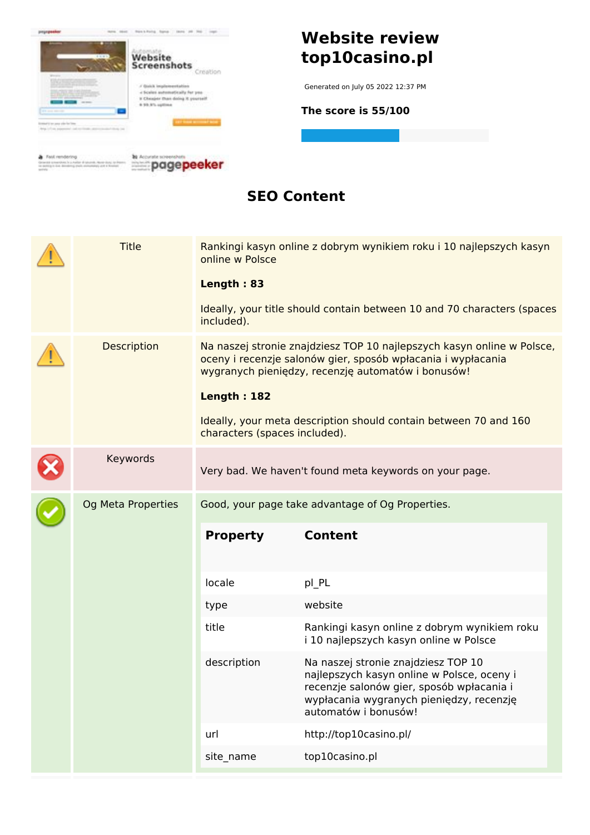

### **SEO Content**

| <b>Title</b>       | online w Polsce<br>Length: 83<br>included).         | Rankingi kasyn online z dobrym wynikiem roku i 10 najlepszych kasyn<br>Ideally, your title should contain between 10 and 70 characters (spaces                                                                                                                   |  |
|--------------------|-----------------------------------------------------|------------------------------------------------------------------------------------------------------------------------------------------------------------------------------------------------------------------------------------------------------------------|--|
| Description        | <b>Length: 182</b><br>characters (spaces included). | Na naszej stronie znajdziesz TOP 10 najlepszych kasyn online w Polsce,<br>oceny i recenzje salonów gier, sposób wpłacania i wypłacania<br>wygranych pieniędzy, recenzję automatów i bonusów!<br>Ideally, your meta description should contain between 70 and 160 |  |
| Keywords           |                                                     | Very bad. We haven't found meta keywords on your page.                                                                                                                                                                                                           |  |
| Og Meta Properties | Good, your page take advantage of Og Properties.    |                                                                                                                                                                                                                                                                  |  |
|                    | <b>Property</b>                                     | <b>Content</b>                                                                                                                                                                                                                                                   |  |
|                    | locale                                              | pl_PL                                                                                                                                                                                                                                                            |  |
|                    | type                                                | website                                                                                                                                                                                                                                                          |  |
|                    | title                                               | Rankingi kasyn online z dobrym wynikiem roku<br>i 10 najlepszych kasyn online w Polsce                                                                                                                                                                           |  |
|                    | description                                         | Na naszej stronie znajdziesz TOP 10<br>najlepszych kasyn online w Polsce, oceny i<br>recenzje salonów gier, sposób wpłacania i<br>wypłacania wygranych pieniędzy, recenzję<br>automatów i bonusów!                                                               |  |
|                    | url                                                 | http://top10casino.pl/                                                                                                                                                                                                                                           |  |
|                    | site_name                                           | top10casino.pl                                                                                                                                                                                                                                                   |  |
|                    |                                                     |                                                                                                                                                                                                                                                                  |  |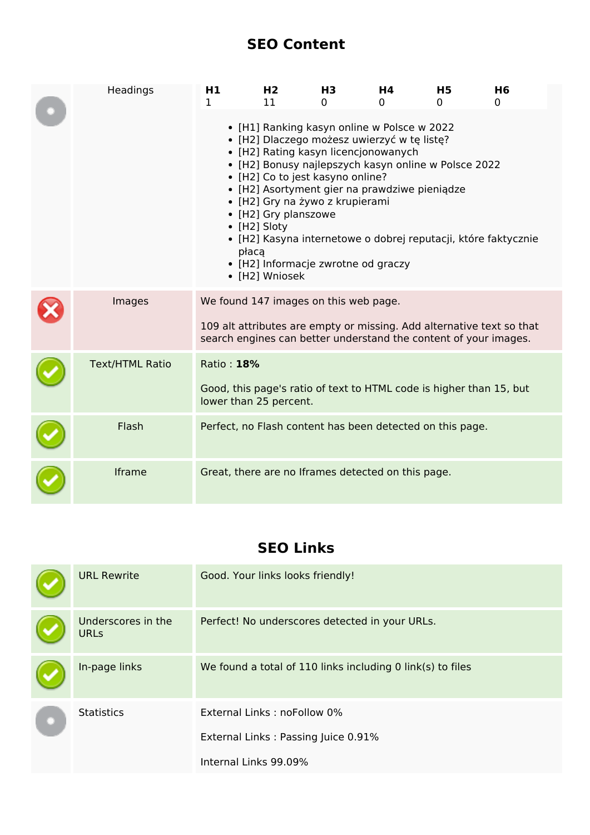### **SEO Content**

| Headings               | H1<br>1                                            | H2<br>11                                                                                                                                                                                                                                                                                                                                                    | H <sub>3</sub><br>0 | Η4<br>0 | <b>H5</b><br>0                                                                                                                            | H <sub>6</sub><br>0 |
|------------------------|----------------------------------------------------|-------------------------------------------------------------------------------------------------------------------------------------------------------------------------------------------------------------------------------------------------------------------------------------------------------------------------------------------------------------|---------------------|---------|-------------------------------------------------------------------------------------------------------------------------------------------|---------------------|
|                        | płacą                                              | • [H1] Ranking kasyn online w Polsce w 2022<br>· [H2] Dlaczego możesz uwierzyć w tę listę?<br>• [H2] Rating kasyn licencjonowanych<br>• [H2] Co to jest kasyno online?<br>· [H2] Asortyment gier na prawdziwe pieniądze<br>• [H2] Gry na żywo z krupierami<br>• [H2] Gry planszowe<br>• [H2] Sloty<br>• [H2] Informacje zwrotne od graczy<br>• [H2] Wniosek |                     |         | • [H2] Bonusy najlepszych kasyn online w Polsce 2022<br>· [H2] Kasyna internetowe o dobrej reputacji, które faktycznie                    |                     |
| Images                 | We found 147 images on this web page.              |                                                                                                                                                                                                                                                                                                                                                             |                     |         | 109 alt attributes are empty or missing. Add alternative text so that<br>search engines can better understand the content of your images. |                     |
| <b>Text/HTML Ratio</b> | Ratio: 18%<br>lower than 25 percent.               |                                                                                                                                                                                                                                                                                                                                                             |                     |         | Good, this page's ratio of text to HTML code is higher than 15, but                                                                       |                     |
| Flash                  |                                                    |                                                                                                                                                                                                                                                                                                                                                             |                     |         | Perfect, no Flash content has been detected on this page.                                                                                 |                     |
| Iframe                 | Great, there are no Iframes detected on this page. |                                                                                                                                                                                                                                                                                                                                                             |                     |         |                                                                                                                                           |                     |

### **SEO Links**

| <b>URL Rewrite</b>                | Good. Your links looks friendly!                           |
|-----------------------------------|------------------------------------------------------------|
| Underscores in the<br><b>URLs</b> | Perfect! No underscores detected in your URLs.             |
| In-page links                     | We found a total of 110 links including 0 link(s) to files |
| <b>Statistics</b>                 | External Links: noFollow 0%                                |
|                                   | External Links: Passing Juice 0.91%                        |
|                                   | Internal Links 99.09%                                      |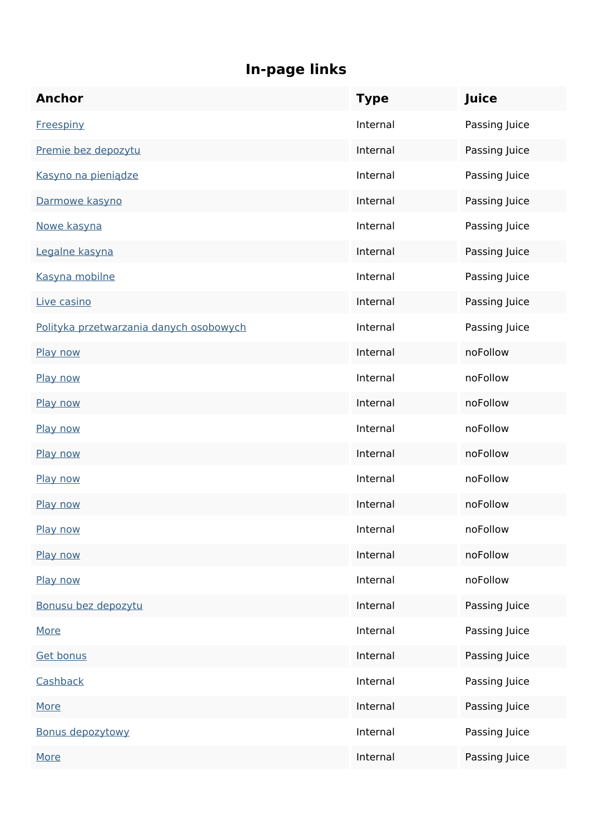| <b>Anchor</b>                           | <b>Type</b> | Juice         |
|-----------------------------------------|-------------|---------------|
| <b>Freespiny</b>                        | Internal    | Passing Juice |
| Premie bez depozytu                     | Internal    | Passing Juice |
| Kasyno na pieniądze                     | Internal    | Passing Juice |
| Darmowe kasyno                          | Internal    | Passing Juice |
| Nowe kasyna                             | Internal    | Passing Juice |
| Legalne kasyna                          | Internal    | Passing Juice |
| Kasyna mobilne                          | Internal    | Passing Juice |
| Live casino                             | Internal    | Passing Juice |
| Polityka przetwarzania danych osobowych | Internal    | Passing Juice |
| Play now                                | Internal    | noFollow      |
| Play now                                | Internal    | noFollow      |
| Play now                                | Internal    | noFollow      |
| Play now                                | Internal    | noFollow      |
| Play now                                | Internal    | noFollow      |
| Play now                                | Internal    | noFollow      |
| Play now                                | Internal    | noFollow      |
| Play now                                | Internal    | noFollow      |
| Play now                                | Internal    | noFollow      |
| Play now                                | Internal    | noFollow      |
| Bonusu bez depozytu                     | Internal    | Passing Juice |
| <b>More</b>                             | Internal    | Passing Juice |
| <b>Get bonus</b>                        | Internal    | Passing Juice |
| Cashback                                | Internal    | Passing Juice |
| <b>More</b>                             | Internal    | Passing Juice |
| <b>Bonus depozytowy</b>                 | Internal    | Passing Juice |
| <b>More</b>                             | Internal    | Passing Juice |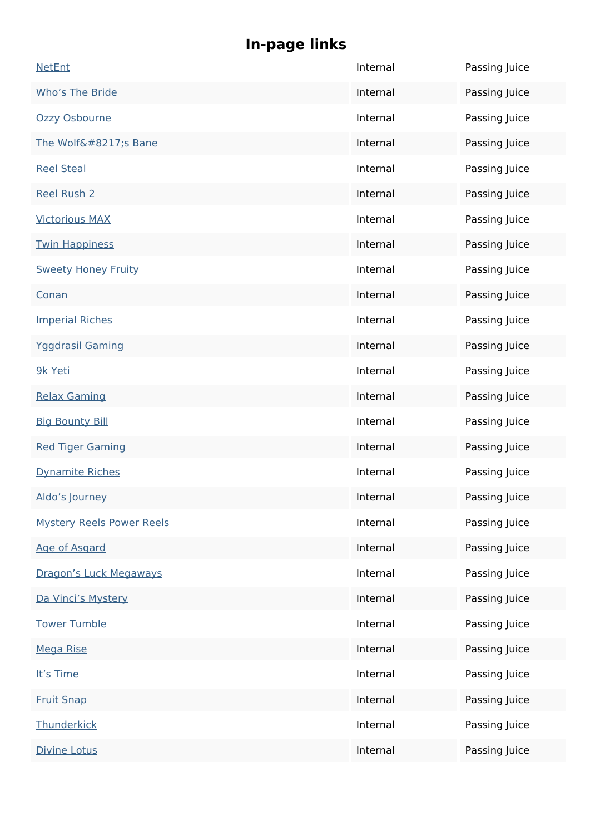| <b>NetEnt</b>                    | Internal | Passing Juice |
|----------------------------------|----------|---------------|
| Who's The Bride                  | Internal | Passing Juice |
| Ozzy Osbourne                    | Internal | Passing Juice |
| The Wolf's Bane                  | Internal | Passing Juice |
| <b>Reel Steal</b>                | Internal | Passing Juice |
| <b>Reel Rush 2</b>               | Internal | Passing Juice |
| <b>Victorious MAX</b>            | Internal | Passing Juice |
| <b>Twin Happiness</b>            | Internal | Passing Juice |
| <b>Sweety Honey Fruity</b>       | Internal | Passing Juice |
| Conan                            | Internal | Passing Juice |
| <b>Imperial Riches</b>           | Internal | Passing Juice |
| <b>Yggdrasil Gaming</b>          | Internal | Passing Juice |
| 9k Yeti                          | Internal | Passing Juice |
| <b>Relax Gaming</b>              | Internal | Passing Juice |
| <b>Big Bounty Bill</b>           | Internal | Passing Juice |
| <b>Red Tiger Gaming</b>          | Internal | Passing Juice |
| <b>Dynamite Riches</b>           | Internal | Passing Juice |
| Aldo's lourney                   | Internal | Passing Juice |
| <b>Mystery Reels Power Reels</b> | Internal | Passing Juice |
| Age of Asgard                    | Internal | Passing Juice |
| Dragon's Luck Megaways           | Internal | Passing Juice |
| Da Vinci's Mystery               | Internal | Passing Juice |
| <b>Tower Tumble</b>              | Internal | Passing Juice |
| <b>Mega Rise</b>                 | Internal | Passing Juice |
| It's Time                        | Internal | Passing Juice |
| <b>Fruit Snap</b>                | Internal | Passing Juice |
| Thunderkick                      | Internal | Passing Juice |
| <b>Divine Lotus</b>              | Internal | Passing Juice |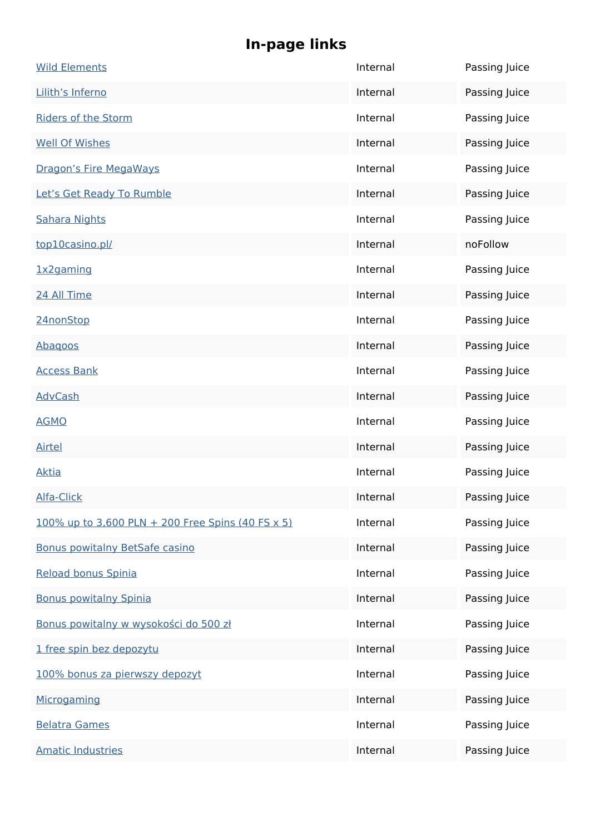| <b>Wild Elements</b>                              | Internal | Passing Juice |
|---------------------------------------------------|----------|---------------|
| Lilith's Inferno                                  | Internal | Passing Juice |
| <b>Riders of the Storm</b>                        | Internal | Passing Juice |
| <b>Well Of Wishes</b>                             | Internal | Passing Juice |
| Dragon's Fire MegaWays                            | Internal | Passing Juice |
| Let's Get Ready To Rumble                         | Internal | Passing Juice |
| <b>Sahara Nights</b>                              | Internal | Passing Juice |
| top10casino.pl/                                   | Internal | noFollow      |
| 1x2gaming                                         | Internal | Passing Juice |
| 24 All Time                                       | Internal | Passing Juice |
| 24nonStop                                         | Internal | Passing Juice |
| Abagoos                                           | Internal | Passing Juice |
| <b>Access Bank</b>                                | Internal | Passing Juice |
| <b>AdvCash</b>                                    | Internal | Passing Juice |
| <b>AGMO</b>                                       | Internal | Passing Juice |
| <b>Airtel</b>                                     | Internal | Passing Juice |
| <b>Aktia</b>                                      | Internal | Passing Juice |
| Alfa-Click                                        | Internal | Passing Juice |
| 100% up to 3,600 PLN + 200 Free Spins (40 FS x 5) | Internal | Passing Juice |
| <b>Bonus powitalny BetSafe casino</b>             | Internal | Passing Juice |
| Reload bonus Spinia                               | Internal | Passing Juice |
| <b>Bonus powitalny Spinia</b>                     | Internal | Passing Juice |
| Bonus powitalny w wysokości do 500 zł             | Internal | Passing Juice |
| 1 free spin bez depozytu                          | Internal | Passing Juice |
| 100% bonus za pierwszy depozyt                    | Internal | Passing Juice |
| Microgaming                                       | Internal | Passing Juice |
| <b>Belatra Games</b>                              | Internal | Passing Juice |
| <b>Amatic Industries</b>                          | Internal | Passing Juice |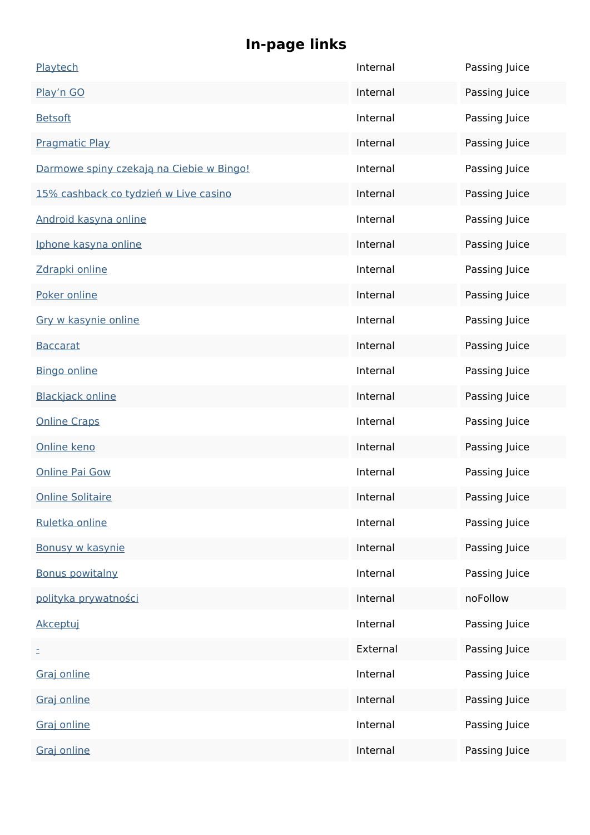| Playtech                                 | Internal | Passing Juice |
|------------------------------------------|----------|---------------|
| Play'n GO                                | Internal | Passing Juice |
| <b>Betsoft</b>                           | Internal | Passing Juice |
| <b>Pragmatic Play</b>                    | Internal | Passing Juice |
| Darmowe spiny czekają na Ciebie w Bingo! | Internal | Passing Juice |
| 15% cashback co tydzień w Live casino    | Internal | Passing Juice |
| Android kasyna online                    | Internal | Passing Juice |
| Iphone kasyna online                     | Internal | Passing Juice |
| Zdrapki online                           | Internal | Passing Juice |
| Poker online                             | Internal | Passing Juice |
| Gry w kasynie online                     | Internal | Passing Juice |
| <b>Baccarat</b>                          | Internal | Passing Juice |
| <b>Bingo online</b>                      | Internal | Passing Juice |
| <b>Blackjack online</b>                  | Internal | Passing Juice |
| <b>Online Craps</b>                      | Internal | Passing Juice |
| Online keno                              | Internal | Passing Juice |
| <b>Online Pai Gow</b>                    | Internal | Passing Juice |
| <b>Online Solitaire</b>                  | Internal | Passing Juice |
| Ruletka online                           | Internal | Passing Juice |
| Bonusy w kasynie                         | Internal | Passing Juice |
| <b>Bonus powitalny</b>                   | Internal | Passing Juice |
| polityka prywatności                     | Internal | noFollow      |
| Akceptuj                                 | Internal | Passing Juice |
| Ξ                                        | External | Passing Juice |
| Graj online                              | Internal | Passing Juice |
| Graj online                              | Internal | Passing Juice |
| Graj online                              | Internal | Passing Juice |
| Graj online                              | Internal | Passing Juice |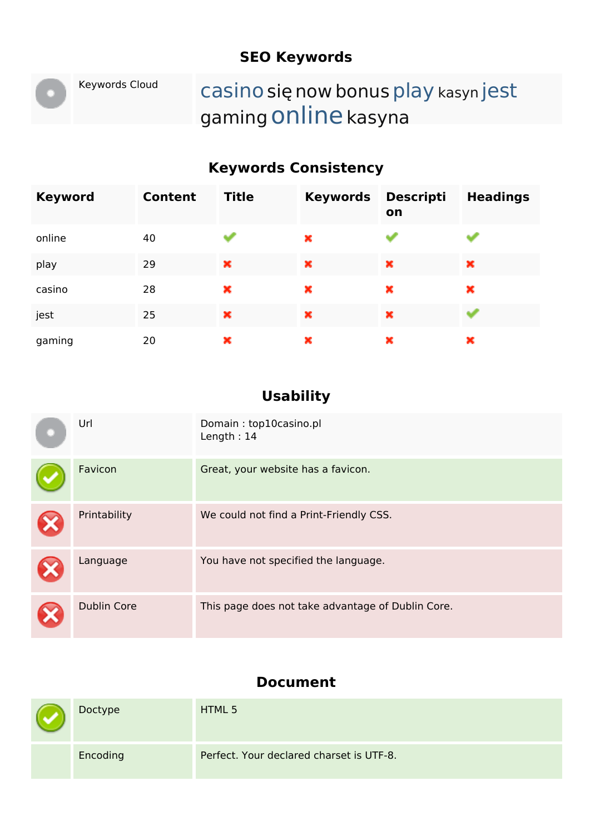## **SEO Keywords**

# Keywords Cloud casino się now bonus play kasyn jest gaming Online kasyna

## **Keywords Consistency**

| <b>Keyword</b> | <b>Content</b> | <b>Title</b> | <b>Keywords</b> | <b>Descripti</b><br>on | <b>Headings</b> |
|----------------|----------------|--------------|-----------------|------------------------|-----------------|
| online         | 40             | النظار       | ×               |                        |                 |
| play           | 29             | ×            | ×               | ×                      | ×               |
| casino         | 28             | ×            | ×               | ×                      | ×               |
| jest           | 25             | ×            | ×               | ×                      |                 |
| gaming         | 20             | ×            | ×               | ×                      | ×               |

### **Usability**

| Url                | Domain: top10casino.pl<br>Length: $14$            |
|--------------------|---------------------------------------------------|
| Favicon            | Great, your website has a favicon.                |
| Printability       | We could not find a Print-Friendly CSS.           |
| Language           | You have not specified the language.              |
| <b>Dublin Core</b> | This page does not take advantage of Dublin Core. |

#### **Document**

| $\blacktriangledown$ | Doctype  | HTML 5                                   |
|----------------------|----------|------------------------------------------|
|                      | Encoding | Perfect. Your declared charset is UTF-8. |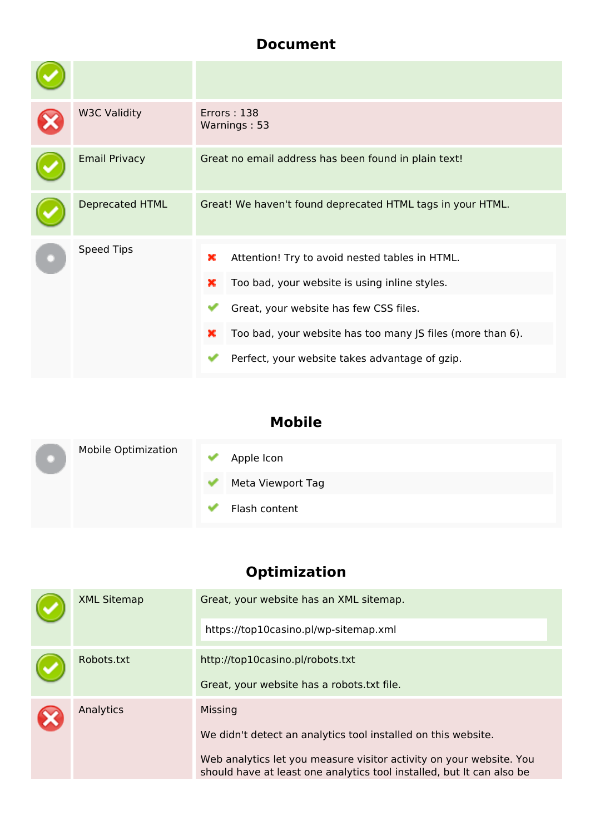### **Document**

| <b>W3C Validity</b>    | Errors: 138<br>Warnings: 53                                                                                                                                                                                                                                              |
|------------------------|--------------------------------------------------------------------------------------------------------------------------------------------------------------------------------------------------------------------------------------------------------------------------|
| <b>Email Privacy</b>   | Great no email address has been found in plain text!                                                                                                                                                                                                                     |
| <b>Deprecated HTML</b> | Great! We haven't found deprecated HTML tags in your HTML.                                                                                                                                                                                                               |
| Speed Tips             | ×<br>Attention! Try to avoid nested tables in HTML.<br>Too bad, your website is using inline styles.<br>×<br>Great, your website has few CSS files.<br>Too bad, your website has too many JS files (more than 6).<br>×<br>Perfect, your website takes advantage of gzip. |

## **Mobile**

|  | <b>Mobile Optimization</b> | Apple Icon        |
|--|----------------------------|-------------------|
|  |                            | Meta Viewport Tag |
|  |                            | Flash content     |

## **Optimization**

| <b>XML Sitemap</b> | Great, your website has an XML sitemap.                                                                                                                                                                                  |
|--------------------|--------------------------------------------------------------------------------------------------------------------------------------------------------------------------------------------------------------------------|
|                    | https://top10casino.pl/wp-sitemap.xml                                                                                                                                                                                    |
| Robots.txt         | http://top10casino.pl/robots.txt<br>Great, your website has a robots.txt file.                                                                                                                                           |
| Analytics          | Missing<br>We didn't detect an analytics tool installed on this website.<br>Web analytics let you measure visitor activity on your website. You<br>should have at least one analytics tool installed, but It can also be |